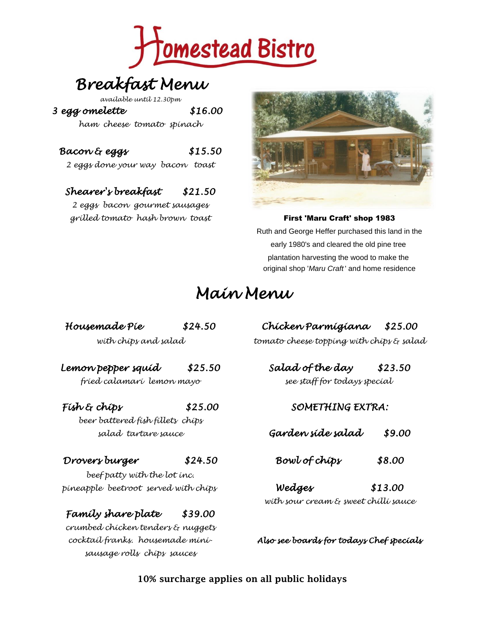

# *Breakfast Menu*

*available until 12.30pm*

*3 egg omelette \$16.00* 

*ham cheese tomato spinach*

## *Bacon & eggs \$15.50*

*2 eggs done your way bacon toast*

## *Shearer's breakfast \$21.50*

*2 eggs bacon gourmet sausages grilled tomato hash brown toast* First 'Maru Craft' shop 1983



Ruth and George Heffer purchased this land in the early 1980's and cleared the old pine tree plantation harvesting the wood to make the original shop '*Maru Craft* ' and home residence

## *Main Menu*

*with chips and salad tomato cheese topping with chips & salad*

*Lemon pepper squid \$25.50 Salad of the day \$23.50 fried calamari lemon mayo see staff for todays special* 

*beer battered fish fillets chips*

#### *Drovers burger \$24.50 Bowl of chips \$8.00*

*beef patty with the lot inc. pineapple beetroot served with chips Wedges \$13.00*

## *Family share plate \$39.00*

*crumbed chicken tenders & nuggets sausage rolls chips sauces*

*Housemade Pie \$24.50 Chicken Parmigiana \$25.00*

#### *Fish & chips \$25.00 SOMETHING EXTRA:*

*salad tartare sauce Garden side salad \$9.00*

*with sour cream & sweet chilli sauce*

*cocktail franks. housemade mini- Also see boards for todays Chef specials*

**10% surcharge applies on all public holidays**